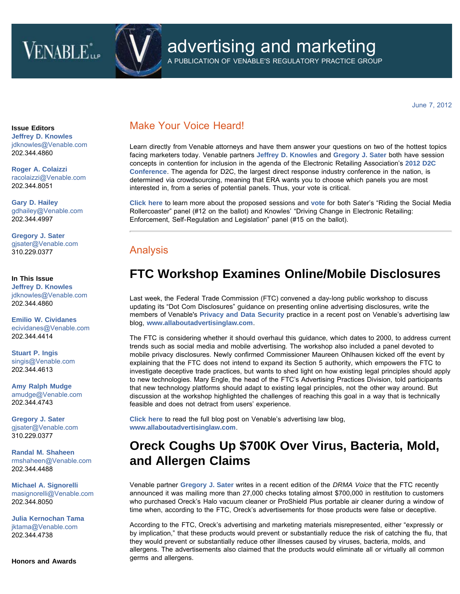# **VENABLE**



# advertising and marketing

A PUBLICATION OF VENABLE'S REGULATORY PRACTICE GROUP

June 7, 2012

**Issue Editors [Jeffrey D. Knowles](http://www.venable.com/Jeffrey-D-Knowles)** [jdknowles@Venable.com](mailto:jdknowles@Venable.com)  202.344.4860

**[Roger A. Colaizzi](http://www.venable.com/Roger-A-Colaizzi)** [racolaizzi@Venable.com](mailto:racolaizzi@Venable.com)  202.344.8051

**[Gary D. Hailey](http://www.venable.com/Gary-D-Hailey)** [gdhailey@Venable.com](mailto:gdhailey@Venable.com)  202.344.4997

**[Gregory J. Sater](http://www.venable.com/Gregory-J-Sater)** [gjsater@Venable.com](mailto:gjsater@Venable.com)  310.229.0377

### **In This Issue [Jeffrey D. Knowles](http://www.venable.com/Jeffrey-D-Knowles)** [jdknowles@Venable.com](mailto:jdknowles@Venable.com)  202.344.4860

**[Emilio W. Cividanes](http://www.venable.com/emilio-w-cividanes)** [ecividanes@Venable.com](mailto:ecividanes@Venable.com)  202.344.4414

**[Stuart P. Ingis](http://www.venable.com/Stuart-P-Ingis)** [singis@Venable.com](mailto:singis@Venable.com)  202.344.4613

**[Amy Ralph Mudge](http://www.venable.com/Amy-R-Mudge)** [amudge@Venable.com](mailto:amudge@Venable.com) 202.344.4743

**[Gregory J. Sater](http://www.venable.com/Gregory-J-Sater)** [gjsater@Venable.com](mailto:gjsater@Venable.com)  310.229.0377

**[Randal M. Shaheen](http://www.venable.com/Randal-M-Shaheen)** [rmshaheen@Venable.com](mailto:rmshaheen@Venable.com)  202.344.4488

**[Michael A. Signorelli](http://www.venable.com/michael-a-signorelli)** [masignorelli@Venable.com](mailto:masignorelli@Venable.com)  202.344.8050

**[Julia Kernochan Tama](http://www.venable.com/julia-k-tama)** [jktama@Venable.com](mailto:jktama@Venable.com)  202.344.4738

**Honors and Awards**

### Make Your Voice Heard!

Learn directly from Venable attorneys and have them answer your questions on two of the hottest topics facing marketers today. Venable partners **[Jeffrey D. Knowles](http://www.venable.com/jeffrey-d-knowles)** and **[Gregory J. Sater](http://www.venable.com/gregory-j-sater)** both have session concepts in contention for inclusion in the agenda of the Electronic Retailing Association's **[2012 D2C](http://www.d2cshow.org/) [Conference](http://www.d2cshow.org/)**. The agenda for D2C, the largest direct response industry conference in the nation, is determined via crowdsourcing, meaning that ERA wants you to choose which panels you are most interested in, from a series of potential panels. Thus, your vote is critical.

**[Click here](http://www.surveymonkey.com/s/Q3PYFWZ)** to learn more about the proposed sessions and **[vote](http://www.surveymonkey.com/s/Q3PYFWZ)** for both Sater's "Riding the Social Media Rollercoaster" panel (#12 on the ballot) and Knowles' "Driving Change in Electronic Retailing: Enforcement, Self-Regulation and Legislation" panel (#15 on the ballot).

### Analysis

## **FTC Workshop Examines Online/Mobile Disclosures**

Last week, the Federal Trade Commission (FTC) convened a day-long public workshop to discuss updating its "Dot Com Disclosures" guidance on presenting online advertising disclosures, write the members of Venable's **[Privacy and Data Security](http://www.venable.com/services/practices/ServiceDetail.aspx?service=165&view=pros)** practice in a recent post on Venable's advertising law blog, **[www.allaboutadvertisinglaw.com](http://www.allaboutadvertisinglaw.com/)**.

The FTC is considering whether it should overhaul this guidance, which dates to 2000, to address current trends such as social media and mobile advertising. The workshop also included a panel devoted to mobile privacy disclosures. Newly confirmed Commissioner Maureen Ohlhausen kicked off the event by explaining that the FTC does not intend to expand its Section 5 authority, which empowers the FTC to investigate deceptive trade practices, but wants to shed light on how existing legal principles should apply to new technologies. Mary Engle, the head of the FTC's Advertising Practices Division, told participants that new technology platforms should adapt to existing legal principles, not the other way around. But discussion at the workshop highlighted the challenges of reaching this goal in a way that is technically feasible and does not detract from users' experience.

**[Click here](http://www.allaboutadvertisinglaw.com/blog/2012/06/a-short-history-of-the-ftcs-in-short-advertising-and-privacy-disclosures-in-a-digital-world-workshop.html)** [t](http://www.allaboutadvertisinglaw.com/blog/2012/06/a-short-history-of-the-ftcs-in-short-advertising-and-privacy-disclosures-in-a-digital-world-workshop.html)o read the full blog post on Venable's advertising law blog, **[www.allaboutadvertisinglaw.com](http://www.allaboutadvertisinglaw.com/)**.

# **Oreck Coughs Up \$700K Over Virus, Bacteria, Mold, and Allergen Claims**

Venable partner **[Gregory J. Sater](http://www.venable.com/gregory-j-sater)** writes in a recent edition of the *DRMA Voice* that the FTC recently announced it was mailing more than 27,000 checks totaling almost \$700,000 in restitution to customers who purchased Oreck's Halo vacuum cleaner or ProShield Plus portable air cleaner during a window of time when, according to the FTC, Oreck's advertisements for those products were false or deceptive.

According to the FTC, Oreck's advertising and marketing materials misrepresented, either "expressly or by implication," that these products would prevent or substantially reduce the risk of catching the flu, that they would prevent or substantially reduce other illnesses caused by viruses, bacteria, molds, and allergens. The advertisements also claimed that the products would eliminate all or virtually all common germs and allergens.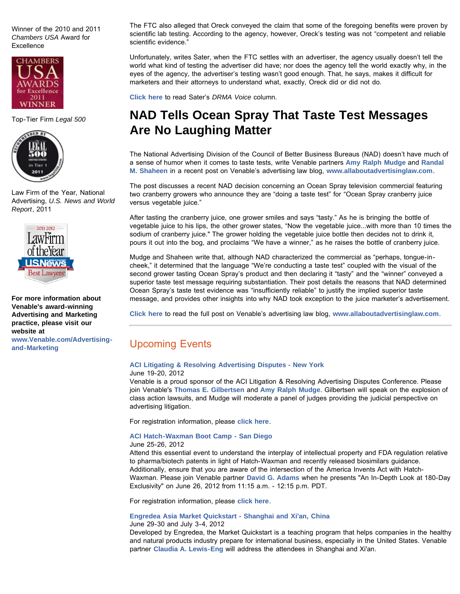Winner of the 2010 and 2011 *Chambers USA* Award for **Excellence** 



Top-Tier Firm *Legal 500*



Law Firm of the Year, National Advertising, *U.S. News and World Report*, 2011



**For more information about Venable's award-winning Advertising and Marketing practice, please visit our website at**

**[www.Venable.com/Advertising](http://www.venable.com/Advertising-and-Marketing)[and-Marketing](http://www.venable.com/Advertising-and-Marketing)**

The FTC also alleged that Oreck conveyed the claim that some of the foregoing benefits were proven by scientific lab testing. According to the agency, however, Oreck's testing was not "competent and reliable scientific evidence."

Unfortunately, writes Sater, when the FTC settles with an advertiser, the agency usually doesn't tell the world what kind of testing the advertiser did have; nor does the agency tell the world exactly why, in the eyes of the agency, the advertiser's testing wasn't good enough. That, he says, makes it difficult for marketers and their attorneys to understand what, exactly, Oreck did or did not do.

**[Click here](http://www.responsemagazine.com/direct-response-marketing/ftc-send-refund-checks-oreck-customers-4524)** to read Sater's *DRMA Voice* column.

## **NAD Tells Ocean Spray That Taste Test Messages Are No Laughing Matter**

The National Advertising Division of the Council of Better Business Bureaus (NAD) doesn't have much of a sense of humor when it comes to taste tests, write Venable partners **[Amy Ralph Mudge](http://www.venable.com/amy-r-mudge)** and **[Randal](http://www.venable.com/randal-m-shaheen) [M. Shaheen](http://www.venable.com/randal-m-shaheen)** in a recent post on Venable's advertising law blog, **[www.allaboutadvertisinglaw.com](http://www.allaboutadvertisinglaw.com/)**.

The post discusses a recent NAD decision concerning an Ocean Spray television commercial featuring two cranberry growers who announce they are "doing a taste test" for "Ocean Spray cranberry juice versus vegetable juice."

After tasting the cranberry juice, one grower smiles and says "tasty." As he is bringing the bottle of vegetable juice to his lips, the other grower states, "Now the vegetable juice...with more than 10 times the sodium of cranberry juice." The grower holding the vegetable juice bottle then decides not to drink it, pours it out into the bog, and proclaims "We have a winner," as he raises the bottle of cranberry juice.

Mudge and Shaheen write that, although NAD characterized the commercial as "perhaps, tongue-incheek," it determined that the language "We're conducting a taste test" coupled with the visual of the second grower tasting Ocean Spray's product and then declaring it "tasty" and the "winner" conveyed a superior taste test message requiring substantiation. Their post details the reasons that NAD determined Ocean Spray's taste test evidence was "insufficiently reliable" to justify the implied superior taste message, and provides other insights into why NAD took exception to the juice marketer's advertisement.

**[Click here](http://www.allaboutadvertisinglaw.com/blog/2012/06/nad-tells-ocean-spray-to-drink-its-vegetables-and-that-superior-taste-test-messages-are-no-laughing-.html)** [t](http://www.allaboutadvertisinglaw.com/blog/2012/06/nad-tells-ocean-spray-to-drink-its-vegetables-and-that-superior-taste-test-messages-are-no-laughing-.html)o read the full post on Venable's advertising law blog, **[www.allaboutadvertisinglaw.com](http://www.allaboutadvertisinglaw.com/)**.

### Upcoming Events

### **[ACI Litigating & Resolving Advertising Disputes](http://www.americanconference.com/2012/718/litigating--resolving-advertising-disputes) - New York**

June 19-20, 2012

Venable is a proud sponsor of the ACI Litigation & Resolving Advertising Disputes Conference. Please join Venable's **[Thomas E. Gilbertsen](http://www.venable.com/thomas-e-gilbertsen/)** and **[Amy Ralph Mudge](http://www.venable.com/amy-r-mudge/)**. Gilbertsen will speak on the explosion of class action lawsuits, and Mudge will moderate a panel of judges providing the judicial perspective on advertising litigation.

For registration information, please **[click here](https://transactions.c5groupinc.com/event_reg.php?conf=3056&site=2&lang=en&gap=4)**.

#### **[ACI Hatch-Waxman Boot Camp - San Diego](http://www.americanconference.com/hwbootcamp/agenda)**

#### June 25-26, 2012

Attend this essential event to understand the interplay of intellectual property and FDA regulation relative to pharma/biotech patents in light of Hatch-Waxman and recently released biosimilars guidance. Additionally, ensure that you are aware of the intersection of the America Invents Act with Hatch-Waxman. Please join Venable partner **[David G. Adams](http://www.venable.com/david-g-adams/)** when he presents "An In-Depth Look at 180-Day Exclusivity" on June 26, 2012 from 11:15 a.m. - 12:15 p.m. PDT.

For registration information, please **[click here](https://transactions.c5groupinc.com/event_reg.php?conf=3060&site=2&lang=en&gap=4)**.

### **[Engredea Asia Market Quickstart - Shanghai and Xi'an, China](http://engredea.com/engredea12/public/Content.aspx?ID=1036018)**

#### June 29-30 and July 3-4, 2012

Developed by Engredea, the Market Quickstart is a teaching program that helps companies in the healthy and natural products industry prepare for international business, especially in the United States. Venable partner **[Claudia A. Lewis-Eng](http://www.venable.com/claudia-a-lewis-eng/)** will address the attendees in Shanghai and Xi'an.